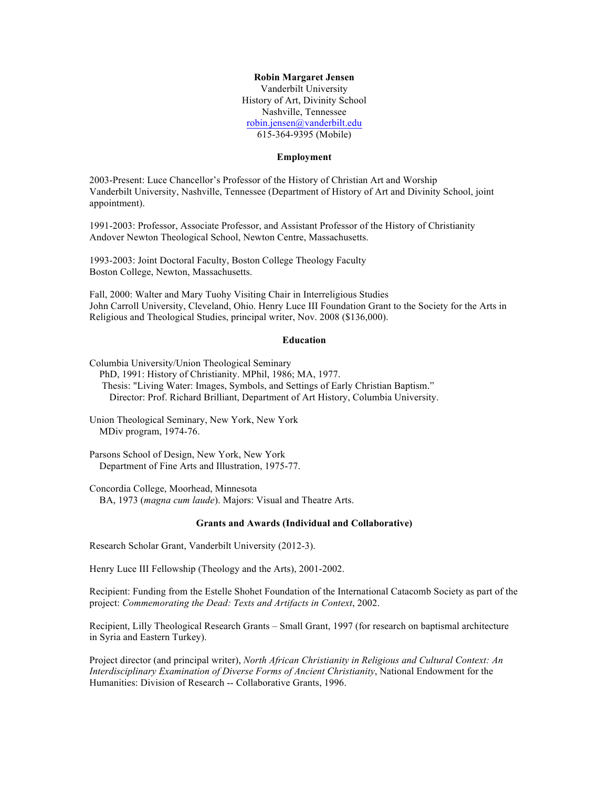#### **Robin Margaret Jensen**

Vanderbilt University History of Art, Divinity School Nashville, Tennessee robin.jensen@vanderbilt.edu 615-364-9395 (Mobile)

#### **Employment**

2003-Present: Luce Chancellor's Professor of the History of Christian Art and Worship Vanderbilt University, Nashville, Tennessee (Department of History of Art and Divinity School, joint appointment).

1991-2003: Professor, Associate Professor, and Assistant Professor of the History of Christianity Andover Newton Theological School, Newton Centre, Massachusetts.

1993-2003: Joint Doctoral Faculty, Boston College Theology Faculty Boston College, Newton, Massachusetts.

Fall, 2000: Walter and Mary Tuohy Visiting Chair in Interreligious Studies John Carroll University, Cleveland, Ohio. Henry Luce III Foundation Grant to the Society for the Arts in Religious and Theological Studies, principal writer, Nov. 2008 (\$136,000).

#### **Education**

Columbia University/Union Theological Seminary PhD, 1991: History of Christianity. MPhil, 1986; MA, 1977.

 Thesis: "Living Water: Images, Symbols, and Settings of Early Christian Baptism." Director: Prof. Richard Brilliant, Department of Art History, Columbia University.

Union Theological Seminary, New York, New York MDiv program, 1974-76.

Parsons School of Design, New York, New York Department of Fine Arts and Illustration, 1975-77.

Concordia College, Moorhead, Minnesota

BA, 1973 (*magna cum laude*). Majors: Visual and Theatre Arts.

## **Grants and Awards (Individual and Collaborative)**

Research Scholar Grant, Vanderbilt University (2012-3).

Henry Luce III Fellowship (Theology and the Arts), 2001-2002.

Recipient: Funding from the Estelle Shohet Foundation of the International Catacomb Society as part of the project: *Commemorating the Dead: Texts and Artifacts in Context*, 2002.

Recipient, Lilly Theological Research Grants – Small Grant, 1997 (for research on baptismal architecture in Syria and Eastern Turkey).

Project director (and principal writer), *North African Christianity in Religious and Cultural Context: An Interdisciplinary Examination of Diverse Forms of Ancient Christianity*, National Endowment for the Humanities: Division of Research -- Collaborative Grants, 1996.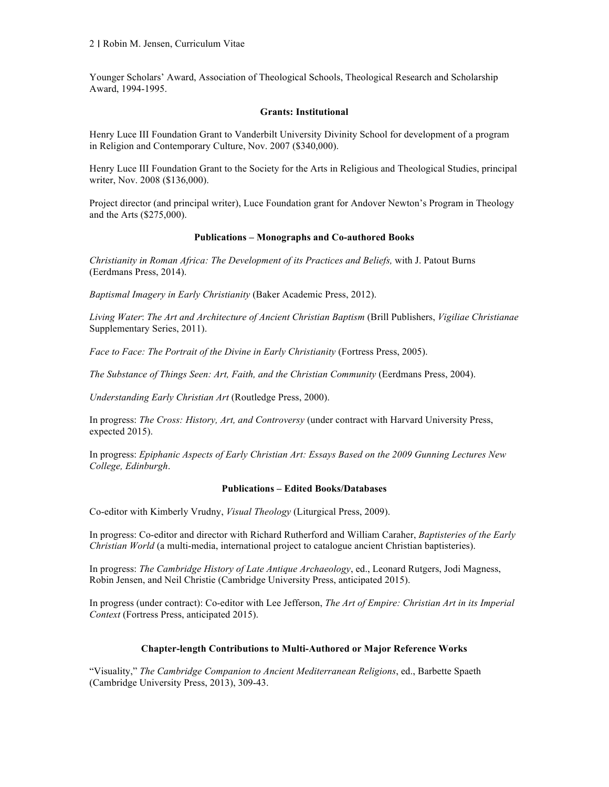Younger Scholars' Award, Association of Theological Schools, Theological Research and Scholarship Award, 1994-1995.

# **Grants: Institutional**

Henry Luce III Foundation Grant to Vanderbilt University Divinity School for development of a program in Religion and Contemporary Culture, Nov. 2007 (\$340,000).

Henry Luce III Foundation Grant to the Society for the Arts in Religious and Theological Studies, principal writer, Nov. 2008 (\$136,000).

Project director (and principal writer), Luce Foundation grant for Andover Newton's Program in Theology and the Arts (\$275,000).

# **Publications – Monographs and Co-authored Books**

*Christianity in Roman Africa: The Development of its Practices and Beliefs,* with J. Patout Burns (Eerdmans Press, 2014).

*Baptismal Imagery in Early Christianity* (Baker Academic Press, 2012).

*Living Water*: *The Art and Architecture of Ancient Christian Baptism* (Brill Publishers, *Vigiliae Christianae* Supplementary Series, 2011).

*Face to Face: The Portrait of the Divine in Early Christianity* (Fortress Press, 2005).

*The Substance of Things Seen: Art, Faith, and the Christian Community* (Eerdmans Press, 2004).

*Understanding Early Christian Art* (Routledge Press, 2000).

In progress: *The Cross: History, Art, and Controversy* (under contract with Harvard University Press, expected 2015).

In progress: *Epiphanic Aspects of Early Christian Art: Essays Based on the 2009 Gunning Lectures New College, Edinburgh*.

## **Publications – Edited Books/Databases**

Co-editor with Kimberly Vrudny, *Visual Theology* (Liturgical Press, 2009).

In progress: Co-editor and director with Richard Rutherford and William Caraher, *Baptisteries of the Early Christian World* (a multi-media, international project to catalogue ancient Christian baptisteries).

In progress: *The Cambridge History of Late Antique Archaeology*, ed., Leonard Rutgers, Jodi Magness, Robin Jensen, and Neil Christie (Cambridge University Press, anticipated 2015).

In progress (under contract): Co-editor with Lee Jefferson, *The Art of Empire: Christian Art in its Imperial Context* (Fortress Press, anticipated 2015).

# **Chapter-length Contributions to Multi-Authored or Major Reference Works**

"Visuality," *The Cambridge Companion to Ancient Mediterranean Religions*, ed., Barbette Spaeth (Cambridge University Press, 2013), 309-43.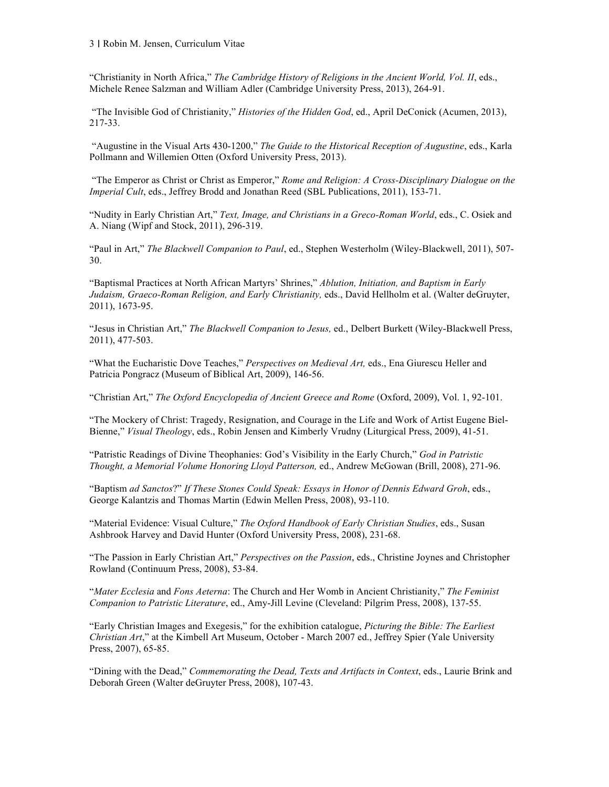"Christianity in North Africa," *The Cambridge History of Religions in the Ancient World, Vol. II*, eds., Michele Renee Salzman and William Adler (Cambridge University Press, 2013), 264-91.

"The Invisible God of Christianity," *Histories of the Hidden God*, ed., April DeConick (Acumen, 2013), 217-33.

"Augustine in the Visual Arts 430-1200," *The Guide to the Historical Reception of Augustine*, eds., Karla Pollmann and Willemien Otten (Oxford University Press, 2013).

"The Emperor as Christ or Christ as Emperor," *Rome and Religion: A Cross-Disciplinary Dialogue on the Imperial Cult*, eds., Jeffrey Brodd and Jonathan Reed (SBL Publications, 2011), 153-71.

"Nudity in Early Christian Art," *Text, Image, and Christians in a Greco-Roman World*, eds., C. Osiek and A. Niang (Wipf and Stock, 2011), 296-319.

"Paul in Art," *The Blackwell Companion to Paul*, ed., Stephen Westerholm (Wiley-Blackwell, 2011), 507- 30.

"Baptismal Practices at North African Martyrs' Shrines," *Ablution, Initiation, and Baptism in Early Judaism, Graeco-Roman Religion, and Early Christianity,* eds., David Hellholm et al. (Walter deGruyter, 2011), 1673-95.

"Jesus in Christian Art," *The Blackwell Companion to Jesus,* ed., Delbert Burkett (Wiley-Blackwell Press, 2011), 477-503.

"What the Eucharistic Dove Teaches," *Perspectives on Medieval Art,* eds., Ena Giurescu Heller and Patricia Pongracz (Museum of Biblical Art, 2009), 146-56.

"Christian Art," *The Oxford Encyclopedia of Ancient Greece and Rome* (Oxford, 2009), Vol. 1, 92-101.

"The Mockery of Christ: Tragedy, Resignation, and Courage in the Life and Work of Artist Eugene Biel-Bienne," *Visual Theology*, eds., Robin Jensen and Kimberly Vrudny (Liturgical Press, 2009), 41-51.

"Patristic Readings of Divine Theophanies: God's Visibility in the Early Church," *God in Patristic Thought, a Memorial Volume Honoring Lloyd Patterson,* ed., Andrew McGowan (Brill, 2008), 271-96.

"Baptism *ad Sanctos*?" *If These Stones Could Speak: Essays in Honor of Dennis Edward Groh*, eds., George Kalantzis and Thomas Martin (Edwin Mellen Press, 2008), 93-110.

"Material Evidence: Visual Culture," *The Oxford Handbook of Early Christian Studies*, eds., Susan Ashbrook Harvey and David Hunter (Oxford University Press, 2008), 231-68.

"The Passion in Early Christian Art," *Perspectives on the Passion*, eds., Christine Joynes and Christopher Rowland (Continuum Press, 2008), 53-84.

"*Mater Ecclesia* and *Fons Aeterna*: The Church and Her Womb in Ancient Christianity," *The Feminist Companion to Patristic Literature*, ed., Amy-Jill Levine (Cleveland: Pilgrim Press, 2008), 137-55.

"Early Christian Images and Exegesis," for the exhibition catalogue, *Picturing the Bible: The Earliest Christian Art*," at the Kimbell Art Museum, October - March 2007 ed., Jeffrey Spier (Yale University Press, 2007), 65-85.

"Dining with the Dead," *Commemorating the Dead, Texts and Artifacts in Context*, eds., Laurie Brink and Deborah Green (Walter deGruyter Press, 2008), 107-43.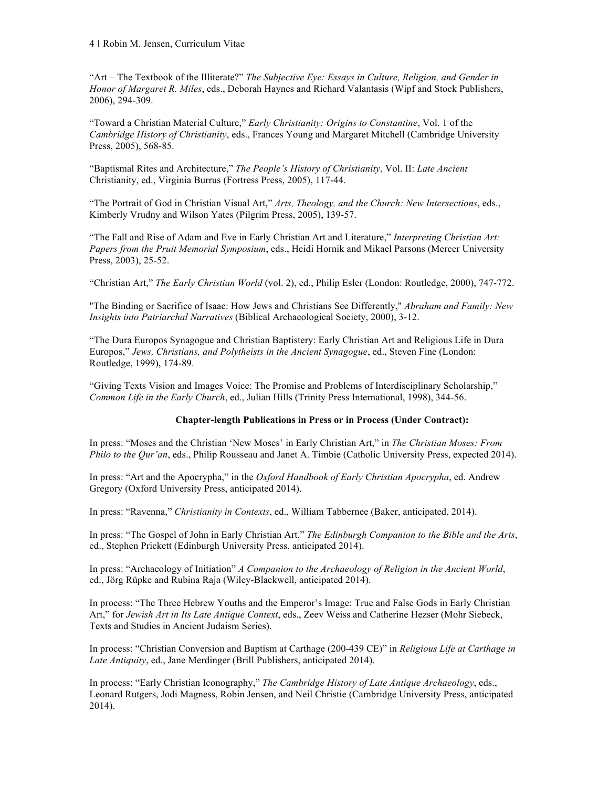"Art – The Textbook of the Illiterate?" *The Subjective Eye: Essays in Culture, Religion, and Gender in Honor of Margaret R. Miles*, eds., Deborah Haynes and Richard Valantasis (Wipf and Stock Publishers, 2006), 294-309.

"Toward a Christian Material Culture," *Early Christianity: Origins to Constantine*, Vol. 1 of the *Cambridge History of Christianity*, eds., Frances Young and Margaret Mitchell (Cambridge University Press, 2005), 568-85.

"Baptismal Rites and Architecture," *The People's History of Christianity*, Vol. II: *Late Ancient*  Christianity, ed., Virginia Burrus (Fortress Press, 2005), 117-44.

"The Portrait of God in Christian Visual Art," *Arts, Theology, and the Church: New Intersections*, eds., Kimberly Vrudny and Wilson Yates (Pilgrim Press, 2005), 139-57.

"The Fall and Rise of Adam and Eve in Early Christian Art and Literature," *Interpreting Christian Art: Papers from the Pruit Memorial Symposium*, eds., Heidi Hornik and Mikael Parsons (Mercer University Press, 2003), 25-52.

"Christian Art," *The Early Christian World* (vol. 2), ed., Philip Esler (London: Routledge, 2000), 747-772.

"The Binding or Sacrifice of Isaac: How Jews and Christians See Differently," *Abraham and Family: New Insights into Patriarchal Narratives* (Biblical Archaeological Society, 2000), 3-12.

"The Dura Europos Synagogue and Christian Baptistery: Early Christian Art and Religious Life in Dura Europos," *Jews, Christians, and Polytheists in the Ancient Synagogue*, ed., Steven Fine (London: Routledge, 1999), 174-89.

"Giving Texts Vision and Images Voice: The Promise and Problems of Interdisciplinary Scholarship," *Common Life in the Early Church*, ed., Julian Hills (Trinity Press International, 1998), 344-56.

## **Chapter-length Publications in Press or in Process (Under Contract):**

In press: "Moses and the Christian 'New Moses' in Early Christian Art," in *The Christian Moses: From Philo to the Qur'an*, eds., Philip Rousseau and Janet A. Timbie (Catholic University Press, expected 2014).

In press: "Art and the Apocrypha," in the *Oxford Handbook of Early Christian Apocrypha*, ed. Andrew Gregory (Oxford University Press, anticipated 2014).

In press: "Ravenna," *Christianity in Contexts*, ed., William Tabbernee (Baker, anticipated, 2014).

In press: "The Gospel of John in Early Christian Art," *The Edinburgh Companion to the Bible and the Arts*, ed., Stephen Prickett (Edinburgh University Press, anticipated 2014).

In press: "Archaeology of Initiation" *A Companion to the Archaeology of Religion in the Ancient World*, ed., Jörg Rüpke and Rubina Raja (Wiley-Blackwell, anticipated 2014).

In process: "The Three Hebrew Youths and the Emperor's Image: True and False Gods in Early Christian Art," for *Jewish Art in Its Late Antique Context*, eds., Zeev Weiss and Catherine Hezser (Mohr Siebeck, Texts and Studies in Ancient Judaism Series).

In process: "Christian Conversion and Baptism at Carthage (200-439 CE)" in *Religious Life at Carthage in Late Antiquity*, ed., Jane Merdinger (Brill Publishers, anticipated 2014).

In process: "Early Christian Iconography," *The Cambridge History of Late Antique Archaeology*, eds., Leonard Rutgers, Jodi Magness, Robin Jensen, and Neil Christie (Cambridge University Press, anticipated 2014).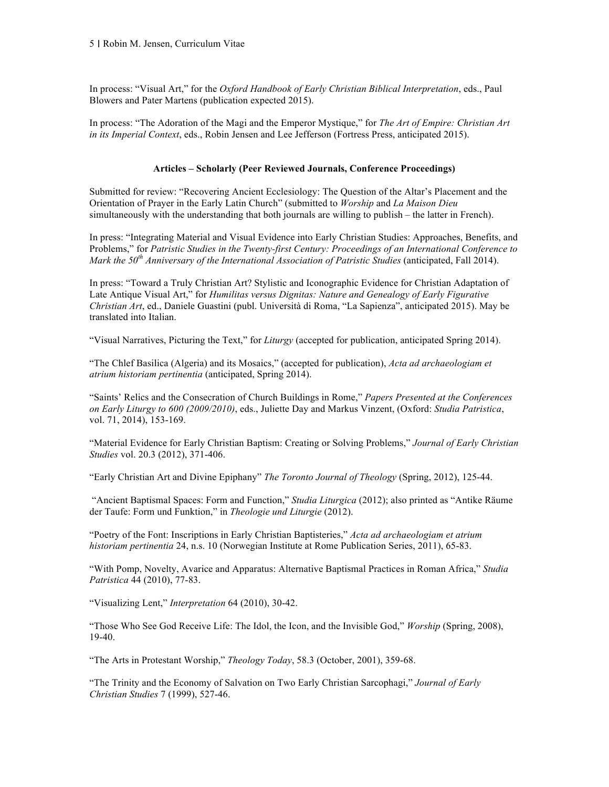In process: "Visual Art," for the *Oxford Handbook of Early Christian Biblical Interpretation*, eds., Paul Blowers and Pater Martens (publication expected 2015).

In process: "The Adoration of the Magi and the Emperor Mystique," for *The Art of Empire: Christian Art in its Imperial Context*, eds., Robin Jensen and Lee Jefferson (Fortress Press, anticipated 2015).

# **Articles – Scholarly (Peer Reviewed Journals, Conference Proceedings)**

Submitted for review: "Recovering Ancient Ecclesiology: The Question of the Altar's Placement and the Orientation of Prayer in the Early Latin Church" (submitted to *Worship* and *La Maison Dieu* simultaneously with the understanding that both journals are willing to publish – the latter in French).

In press: "Integrating Material and Visual Evidence into Early Christian Studies: Approaches, Benefits, and Problems," for *Patristic Studies in the Twenty-first Century: Proceedings of an International Conference to Mark the 50th Anniversary of the International Association of Patristic Studies* (anticipated, Fall 2014).

In press: "Toward a Truly Christian Art? Stylistic and Iconographic Evidence for Christian Adaptation of Late Antique Visual Art," for *Humilitas versus Dignitas: Nature and Genealogy of Early Figurative Christian Art*, ed., Daniele Guastini (publ. Università di Roma, "La Sapienza", anticipated 2015). May be translated into Italian.

"Visual Narratives, Picturing the Text," for *Liturgy* (accepted for publication, anticipated Spring 2014).

"The Chlef Basilica (Algeria) and its Mosaics," (accepted for publication), *Acta ad archaeologiam et atrium historiam pertinentia* (anticipated, Spring 2014).

"Saints' Relics and the Consecration of Church Buildings in Rome," *Papers Presented at the Conferences on Early Liturgy to 600 (2009/2010)*, eds., Juliette Day and Markus Vinzent, (Oxford: *Studia Patristica*, vol. 71, 2014), 153-169.

"Material Evidence for Early Christian Baptism: Creating or Solving Problems," *Journal of Early Christian Studies* vol. 20.3 (2012), 371-406.

"Early Christian Art and Divine Epiphany" *The Toronto Journal of Theology* (Spring, 2012), 125-44.

"Ancient Baptismal Spaces: Form and Function," *Studia Liturgica* (2012); also printed as "Antike Räume der Taufe: Form und Funktion," in *Theologie und Liturgie* (2012).

"Poetry of the Font: Inscriptions in Early Christian Baptisteries," *Acta ad archaeologiam et atrium historiam pertinentia* 24, n.s. 10 (Norwegian Institute at Rome Publication Series, 2011), 65-83.

"With Pomp, Novelty, Avarice and Apparatus: Alternative Baptismal Practices in Roman Africa," *Studia Patristica* 44 (2010), 77-83.

"Visualizing Lent," *Interpretation* 64 (2010), 30-42.

"Those Who See God Receive Life: The Idol, the Icon, and the Invisible God," *Worship* (Spring, 2008), 19-40.

"The Arts in Protestant Worship," *Theology Today*, 58.3 (October, 2001), 359-68.

"The Trinity and the Economy of Salvation on Two Early Christian Sarcophagi," *Journal of Early Christian Studies* 7 (1999), 527-46.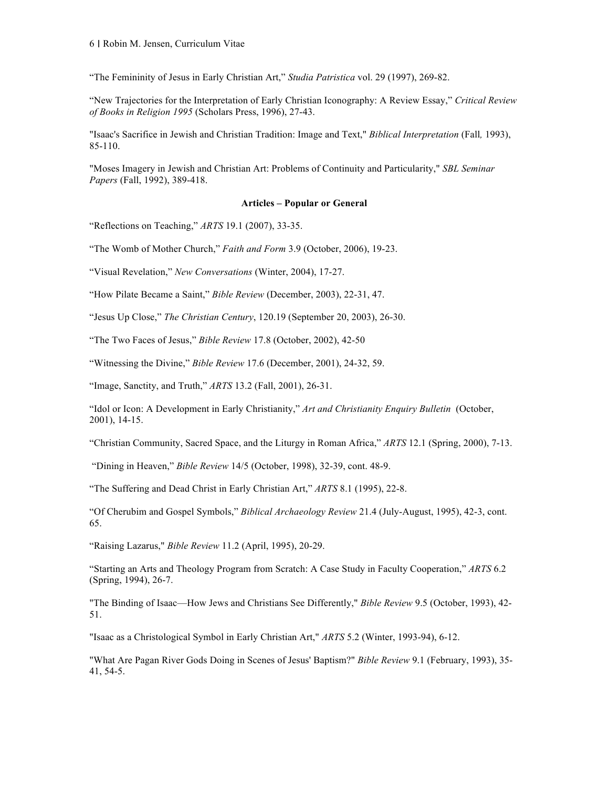"The Femininity of Jesus in Early Christian Art," *Studia Patristica* vol. 29 (1997), 269-82.

"New Trajectories for the Interpretation of Early Christian Iconography: A Review Essay," *Critical Review of Books in Religion 1995* (Scholars Press, 1996), 27-43.

"Isaac's Sacrifice in Jewish and Christian Tradition: Image and Text," *Biblical Interpretation* (Fall*,* 1993), 85-110.

"Moses Imagery in Jewish and Christian Art: Problems of Continuity and Particularity," *SBL Seminar Papers* (Fall, 1992), 389-418.

# **Articles – Popular or General**

"Reflections on Teaching," *ARTS* 19.1 (2007), 33-35.

"The Womb of Mother Church," *Faith and Form* 3.9 (October, 2006), 19-23.

"Visual Revelation," *New Conversations* (Winter, 2004), 17-27.

"How Pilate Became a Saint," *Bible Review* (December, 2003), 22-31, 47.

"Jesus Up Close," *The Christian Century*, 120.19 (September 20, 2003), 26-30.

"The Two Faces of Jesus," *Bible Review* 17.8 (October, 2002), 42-50

"Witnessing the Divine," *Bible Review* 17.6 (December, 2001), 24-32, 59.

"Image, Sanctity, and Truth," *ARTS* 13.2 (Fall, 2001), 26-31.

"Idol or Icon: A Development in Early Christianity," *Art and Christianity Enquiry Bulletin* (October, 2001), 14-15.

"Christian Community, Sacred Space, and the Liturgy in Roman Africa," *ARTS* 12.1 (Spring, 2000), 7-13.

"Dining in Heaven," *Bible Review* 14/5 (October, 1998), 32-39, cont. 48-9.

"The Suffering and Dead Christ in Early Christian Art," *ARTS* 8.1 (1995), 22-8.

"Of Cherubim and Gospel Symbols," *Biblical Archaeology Review* 21.4 (July-August, 1995), 42-3, cont. 65.

"Raising Lazarus," *Bible Review* 11.2 (April, 1995), 20-29.

"Starting an Arts and Theology Program from Scratch: A Case Study in Faculty Cooperation," *ARTS* 6.2 (Spring, 1994), 26-7.

"The Binding of Isaac—How Jews and Christians See Differently," *Bible Review* 9.5 (October, 1993), 42- 51.

"Isaac as a Christological Symbol in Early Christian Art," *ARTS* 5.2 (Winter, 1993-94), 6-12.

"What Are Pagan River Gods Doing in Scenes of Jesus' Baptism?" *Bible Review* 9.1 (February, 1993), 35- 41, 54-5.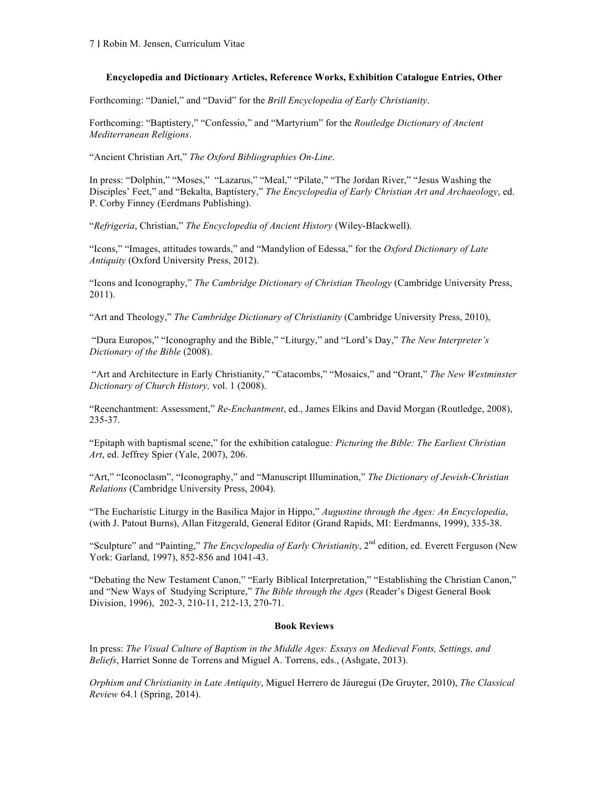# **Encyclopedia and Dictionary Articles, Reference Works, Exhibition Catalogue Entries, Other**

Forthcoming: "Daniel," and "David" for the *Brill Encyclopedia of Early Christianity*.

Forthcoming: "Baptistery," "Confessio," and "Martyrium" for the *Routledge Dictionary of Ancient Mediterranean Religions*.

"Ancient Christian Art," *The Oxford Bibliographies On-Line*.

In press: "Dolphin," "Moses," "Lazarus," "Meal," "Pilate," "The Jordan River," "Jesus Washing the Disciples' Feet," and "Bekalta, Baptistery," *The Encyclopedia of Early Christian Art and Archaeology*, ed. P. Corby Finney (Eerdmans Publishing).

"*Refrigeria*, Christian," *The Encyclopedia of Ancient History* (Wiley-Blackwell).

"Icons," "Images, attitudes towards," and "Mandylion of Edessa," for the *Oxford Dictionary of Late Antiquity* (Oxford University Press, 2012).

"Icons and Iconography," *The Cambridge Dictionary of Christian Theology* (Cambridge University Press, 2011).

"Art and Theology," *The Cambridge Dictionary of Christianity* (Cambridge University Press, 2010),

"Dura Europos," "Iconography and the Bible," "Liturgy," and "Lord's Day," *The New Interpreter's Dictionary of the Bible* (2008).

"Art and Architecture in Early Christianity," "Catacombs," "Mosaics," and "Orant," *The New Westminster Dictionary of Church History,* vol. 1 (2008).

"Reenchantment: Assessment," *Re-Enchantment*, ed., James Elkins and David Morgan (Routledge, 2008), 235-37.

"Epitaph with baptismal scene," for the exhibition catalogue*: Picturing the Bible: The Earliest Christian Art*, ed. Jeffrey Spier (Yale, 2007), 206.

"Art," "Iconoclasm", "Iconography," and "Manuscript Illumination," *The Dictionary of Jewish-Christian Relations* (Cambridge University Press, 2004).

"The Eucharistic Liturgy in the Basilica Major in Hippo," *Augustine through the Ages: An Encyclopedia*, (with J. Patout Burns), Allan Fitzgerald, General Editor (Grand Rapids, MI: Eerdmanns, 1999), 335-38.

"Sculpture" and "Painting," *The Encyclopedia of Early Christianity*, 2nd edition, ed. Everett Ferguson (New York: Garland, 1997), 852-856 and 1041-43.

"Debating the New Testament Canon," "Early Biblical Interpretation," "Establishing the Christian Canon," and "New Ways of Studying Scripture," *The Bible through the Ages* (Reader's Digest General Book Division, 1996), 202-3, 210-11, 212-13, 270-71.

## **Book Reviews**

In press: *The Visual Culture of Baptism in the Middle Ages: Essays on Medieval Fonts, Settings, and Beliefs*, Harriet Sonne de Torrens and Miguel A. Torrens, eds., (Ashgate, 2013).

*Orphism and Christianity in Late Antiquity*, Miguel Herrero de Jáuregui (De Gruyter, 2010), *The Classical Review* 64.1 (Spring, 2014).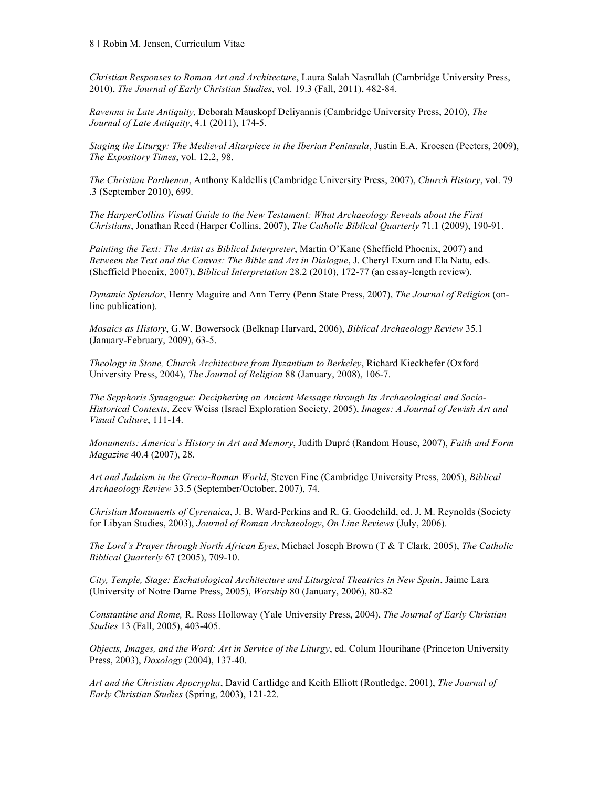*Christian Responses to Roman Art and Architecture*, Laura Salah Nasrallah (Cambridge University Press, 2010), *The Journal of Early Christian Studies*, vol. 19.3 (Fall, 2011), 482-84.

*Ravenna in Late Antiquity,* Deborah Mauskopf Deliyannis (Cambridge University Press, 2010), *The Journal of Late Antiquity*, 4.1 (2011), 174-5.

*Staging the Liturgy: The Medieval Altarpiece in the Iberian Peninsula*, Justin E.A. Kroesen (Peeters, 2009), *The Expository Times*, vol. 12.2, 98.

*The Christian Parthenon*, Anthony Kaldellis (Cambridge University Press, 2007), *Church History*, vol. 79 .3 (September 2010), 699.

*The HarperCollins Visual Guide to the New Testament: What Archaeology Reveals about the First Christians*, Jonathan Reed (Harper Collins, 2007), *The Catholic Biblical Quarterly* 71.1 (2009), 190-91.

*Painting the Text: The Artist as Biblical Interpreter*, Martin O'Kane (Sheffield Phoenix, 2007) and *Between the Text and the Canvas: The Bible and Art in Dialogue*, J. Cheryl Exum and Ela Natu, eds. (Sheffield Phoenix, 2007), *Biblical Interpretation* 28.2 (2010), 172-77 (an essay-length review).

*Dynamic Splendor*, Henry Maguire and Ann Terry (Penn State Press, 2007), *The Journal of Religion* (online publication)*.*

*Mosaics as History*, G.W. Bowersock (Belknap Harvard, 2006), *Biblical Archaeology Review* 35.1 (January-February, 2009), 63-5.

*Theology in Stone, Church Architecture from Byzantium to Berkeley*, Richard Kieckhefer (Oxford University Press, 2004), *The Journal of Religion* 88 (January, 2008), 106-7.

*The Sepphoris Synagogue: Deciphering an Ancient Message through Its Archaeological and Socio-Historical Contexts*, Zeev Weiss (Israel Exploration Society, 2005), *Images: A Journal of Jewish Art and Visual Culture*, 111-14.

*Monuments: America's History in Art and Memory*, Judith Dupré (Random House, 2007), *Faith and Form Magazine* 40.4 (2007), 28.

*Art and Judaism in the Greco-Roman World*, Steven Fine (Cambridge University Press, 2005), *Biblical Archaeology Review* 33.5 (September/October, 2007), 74.

*Christian Monuments of Cyrenaica*, J. B. Ward-Perkins and R. G. Goodchild, ed. J. M. Reynolds (Society for Libyan Studies, 2003), *Journal of Roman Archaeology*, *On Line Reviews* (July, 2006).

*The Lord's Prayer through North African Eyes*, Michael Joseph Brown (T & T Clark, 2005), *The Catholic Biblical Quarterly* 67 (2005), 709-10.

*City, Temple, Stage: Eschatological Architecture and Liturgical Theatrics in New Spain*, Jaime Lara (University of Notre Dame Press, 2005), *Worship* 80 (January, 2006), 80-82

*Constantine and Rome,* R. Ross Holloway (Yale University Press, 2004), *The Journal of Early Christian Studies* 13 (Fall, 2005), 403-405.

*Objects, Images, and the Word: Art in Service of the Liturgy*, ed. Colum Hourihane (Princeton University Press, 2003), *Doxology* (2004), 137-40.

*Art and the Christian Apocrypha*, David Cartlidge and Keith Elliott (Routledge, 2001), *The Journal of Early Christian Studies* (Spring, 2003), 121-22.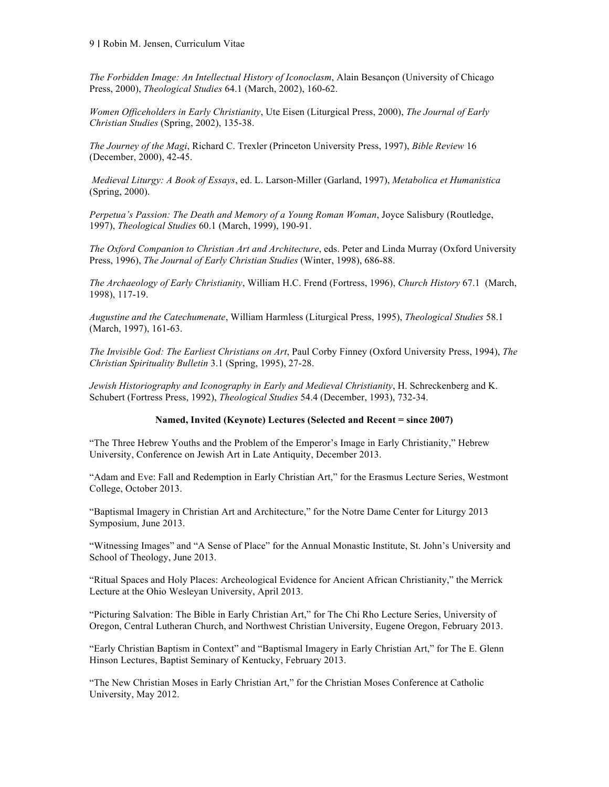*The Forbidden Image: An Intellectual History of Iconoclasm*, Alain Besançon (University of Chicago Press, 2000), *Theological Studies* 64.1 (March, 2002), 160-62.

*Women Officeholders in Early Christianity*, Ute Eisen (Liturgical Press, 2000), *The Journal of Early Christian Studies* (Spring, 2002), 135-38.

*The Journey of the Magi*, Richard C. Trexler (Princeton University Press, 1997), *Bible Review* 16 (December, 2000), 42-45.

*Medieval Liturgy: A Book of Essays*, ed. L. Larson-Miller (Garland, 1997), *Metabolica et Humanistica* (Spring, 2000).

*Perpetua's Passion: The Death and Memory of a Young Roman Woman*, Joyce Salisbury (Routledge, 1997), *Theological Studies* 60.1 (March, 1999), 190-91.

*The Oxford Companion to Christian Art and Architecture*, eds. Peter and Linda Murray (Oxford University Press, 1996), *The Journal of Early Christian Studies* (Winter, 1998), 686-88.

*The Archaeology of Early Christianity*, William H.C. Frend (Fortress, 1996), *Church History* 67.1 (March, 1998), 117-19.

*Augustine and the Catechumenate*, William Harmless (Liturgical Press, 1995), *Theological Studies* 58.1 (March, 1997), 161-63.

*The Invisible God: The Earliest Christians on Art*, Paul Corby Finney (Oxford University Press, 1994), *The Christian Spirituality Bulletin* 3.1 (Spring, 1995), 27-28.

*Jewish Historiography and Iconography in Early and Medieval Christianity*, H. Schreckenberg and K. Schubert (Fortress Press, 1992), *Theological Studies* 54.4 (December, 1993), 732-34.

## **Named, Invited (Keynote) Lectures (Selected and Recent = since 2007)**

"The Three Hebrew Youths and the Problem of the Emperor's Image in Early Christianity," Hebrew University, Conference on Jewish Art in Late Antiquity, December 2013.

"Adam and Eve: Fall and Redemption in Early Christian Art," for the Erasmus Lecture Series, Westmont College, October 2013.

"Baptismal Imagery in Christian Art and Architecture," for the Notre Dame Center for Liturgy 2013 Symposium, June 2013.

"Witnessing Images" and "A Sense of Place" for the Annual Monastic Institute, St. John's University and School of Theology, June 2013.

"Ritual Spaces and Holy Places: Archeological Evidence for Ancient African Christianity," the Merrick Lecture at the Ohio Wesleyan University, April 2013.

"Picturing Salvation: The Bible in Early Christian Art," for The Chi Rho Lecture Series, University of Oregon, Central Lutheran Church, and Northwest Christian University, Eugene Oregon, February 2013.

"Early Christian Baptism in Context" and "Baptismal Imagery in Early Christian Art," for The E. Glenn Hinson Lectures, Baptist Seminary of Kentucky, February 2013.

"The New Christian Moses in Early Christian Art," for the Christian Moses Conference at Catholic University, May 2012.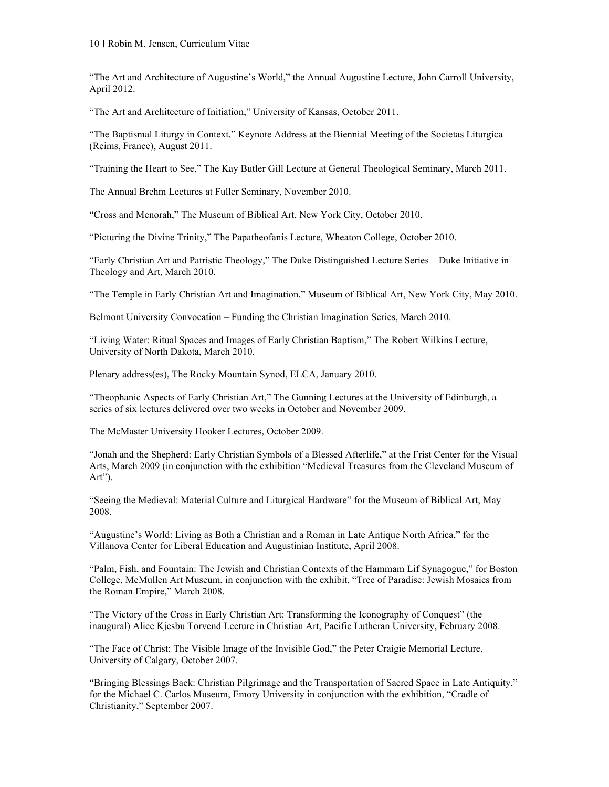"The Art and Architecture of Augustine's World," the Annual Augustine Lecture, John Carroll University, April 2012.

"The Art and Architecture of Initiation," University of Kansas, October 2011.

"The Baptismal Liturgy in Context," Keynote Address at the Biennial Meeting of the Societas Liturgica (Reims, France), August 2011.

"Training the Heart to See," The Kay Butler Gill Lecture at General Theological Seminary, March 2011.

The Annual Brehm Lectures at Fuller Seminary, November 2010.

"Cross and Menorah," The Museum of Biblical Art, New York City, October 2010.

"Picturing the Divine Trinity," The Papatheofanis Lecture, Wheaton College, October 2010.

"Early Christian Art and Patristic Theology," The Duke Distinguished Lecture Series – Duke Initiative in Theology and Art, March 2010.

"The Temple in Early Christian Art and Imagination," Museum of Biblical Art, New York City, May 2010.

Belmont University Convocation – Funding the Christian Imagination Series, March 2010.

"Living Water: Ritual Spaces and Images of Early Christian Baptism," The Robert Wilkins Lecture, University of North Dakota, March 2010.

Plenary address(es), The Rocky Mountain Synod, ELCA, January 2010.

"Theophanic Aspects of Early Christian Art," The Gunning Lectures at the University of Edinburgh, a series of six lectures delivered over two weeks in October and November 2009.

The McMaster University Hooker Lectures, October 2009.

"Jonah and the Shepherd: Early Christian Symbols of a Blessed Afterlife," at the Frist Center for the Visual Arts, March 2009 (in conjunction with the exhibition "Medieval Treasures from the Cleveland Museum of Art").

"Seeing the Medieval: Material Culture and Liturgical Hardware" for the Museum of Biblical Art, May 2008.

"Augustine's World: Living as Both a Christian and a Roman in Late Antique North Africa," for the Villanova Center for Liberal Education and Augustinian Institute, April 2008.

"Palm, Fish, and Fountain: The Jewish and Christian Contexts of the Hammam Lif Synagogue," for Boston College, McMullen Art Museum, in conjunction with the exhibit, "Tree of Paradise: Jewish Mosaics from the Roman Empire," March 2008.

"The Victory of the Cross in Early Christian Art: Transforming the Iconography of Conquest" (the inaugural) Alice Kjesbu Torvend Lecture in Christian Art, Pacific Lutheran University, February 2008.

"The Face of Christ: The Visible Image of the Invisible God," the Peter Craigie Memorial Lecture, University of Calgary, October 2007.

"Bringing Blessings Back: Christian Pilgrimage and the Transportation of Sacred Space in Late Antiquity," for the Michael C. Carlos Museum, Emory University in conjunction with the exhibition, "Cradle of Christianity," September 2007.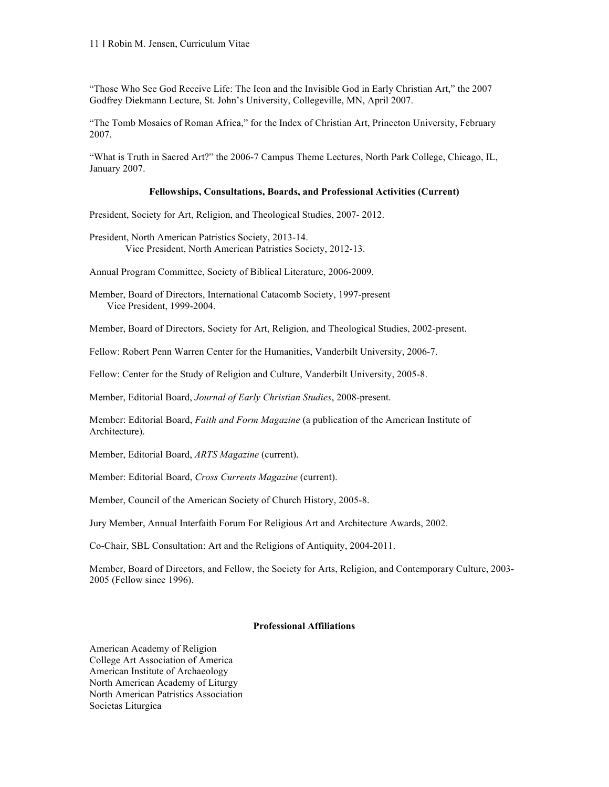"Those Who See God Receive Life: The Icon and the Invisible God in Early Christian Art," the 2007 Godfrey Diekmann Lecture, St. John's University, Collegeville, MN, April 2007.

"The Tomb Mosaics of Roman Africa," for the Index of Christian Art, Princeton University, February 2007.

"What is Truth in Sacred Art?" the 2006-7 Campus Theme Lectures, North Park College, Chicago, IL, January 2007.

#### **Fellowships, Consultations, Boards, and Professional Activities (Current)**

President, Society for Art, Religion, and Theological Studies, 2007- 2012.

President, North American Patristics Society, 2013-14. Vice President, North American Patristics Society, 2012-13.

Annual Program Committee, Society of Biblical Literature, 2006-2009.

Member, Board of Directors, International Catacomb Society, 1997-present Vice President, 1999-2004.

Member, Board of Directors, Society for Art, Religion, and Theological Studies, 2002-present.

Fellow: Robert Penn Warren Center for the Humanities, Vanderbilt University, 2006-7.

Fellow: Center for the Study of Religion and Culture, Vanderbilt University, 2005-8.

Member, Editorial Board, *Journal of Early Christian Studies*, 2008-present.

Member: Editorial Board, *Faith and Form Magazine* (a publication of the American Institute of Architecture).

Member, Editorial Board, *ARTS Magazine* (current).

Member: Editorial Board, *Cross Currents Magazine* (current).

Member, Council of the American Society of Church History, 2005-8.

Jury Member, Annual Interfaith Forum For Religious Art and Architecture Awards, 2002.

Co-Chair, SBL Consultation: Art and the Religions of Antiquity, 2004-2011.

Member, Board of Directors, and Fellow, the Society for Arts, Religion, and Contemporary Culture, 2003- 2005 (Fellow since 1996).

# **Professional Affiliations**

American Academy of Religion College Art Association of America American Institute of Archaeology North American Academy of Liturgy North American Patristics Association Societas Liturgica